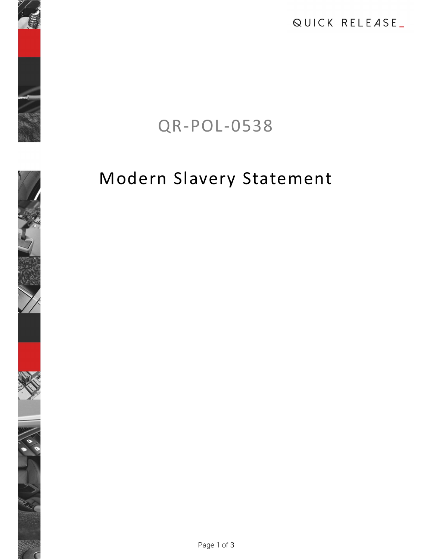QUICK RELEASE\_

# QR-POL-0538

# Modern Slavery Statement

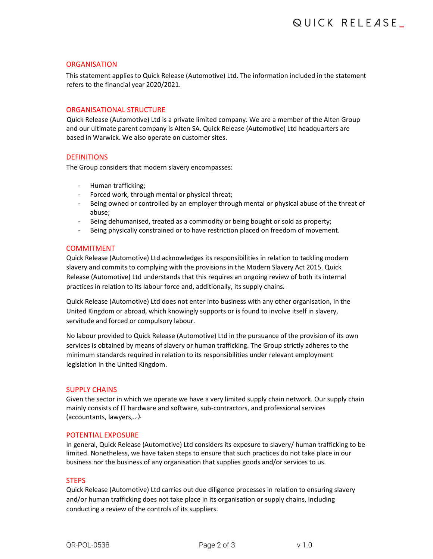## **ORGANISATION**

This statement applies to Quick Release (Automotive) Ltd. The information included in the statement refers to the financial year 2020/2021.

# ORGANISATIONAL STRUCTURE

Quick Release (Automotive) Ltd is a private limited company. We are a member of the Alten Group and our ultimate parent company is Alten SA. Quick Release (Automotive) Ltd headquarters are based in Warwick. We also operate on customer sites.

# **DEFINITIONS**

- 
- 
- The Group considers that modern slavery encompasses:<br>- Human trafficking;<br>- Forced work, through mental or physical threat;<br>- Being owned or controlled by an employer through mental or physical abuse of the threat of
	- abuse;<br>Being dehumanised, treated as a commodity or being bought or sold as property;<br>Being physically constrained or to have restriction placed on freedom of movement.
	-

# COMMITMENT

Quick Release (Automotive) Ltd acknowledges its responsibilities in relation to tackling modern slavery and commits to complying with the provisions in the Modern Slavery Act 2015. Quick Release (Automotive) Ltd understands that this requires an ongoing review of both its internal practices in relation to its labour force and, additionally, its supply chains.

Quick Release (Automotive) Ltd does not enter into business with any other organisation, in the United Kingdom or abroad, which knowingly supports or is found to involve itself in slavery, servitude and forced or compulsory labour.

No labour provided to Quick Release (Automotive) Ltd in the pursuance of the provision of its own services is obtained by means of slavery or human trafficking. The Group strictly adheres to the minimum standards required in relation to its responsibilities under relevant employment legislation in the United Kingdom. COMMITMENT<br>
COMMITMENT<br>
Quick Release (Automotive) Ltd acknowledges its responsibilities in relation to tackling modern<br>
slavery and commits to complying with the provisions in the Modern Slavery Act 2015. Quick<br>
Release (

## SUPPLY CHAINS

Given the sector in which we operate we have a very limited supply chain network. Our supply chain mainly consists of IT hardware and software, sub-contractors, and professional services

## POTENTIAL EXPOSURE

In general, Quick Release (Automotive) Ltd considers its exposure to slavery/ human trafficking to be limited. Nonetheless, we have taken steps to ensure that such practices do not take place in our business nor the business of any organisation that supplies goods and/or services to us.

## **STEPS**

Quick Release (Automotive) Ltd carries out due diligence processes in relation to ensuring slavery and/or human trafficking does not take place in its organisation or supply chains, including conducting a review of the controls of its suppliers.